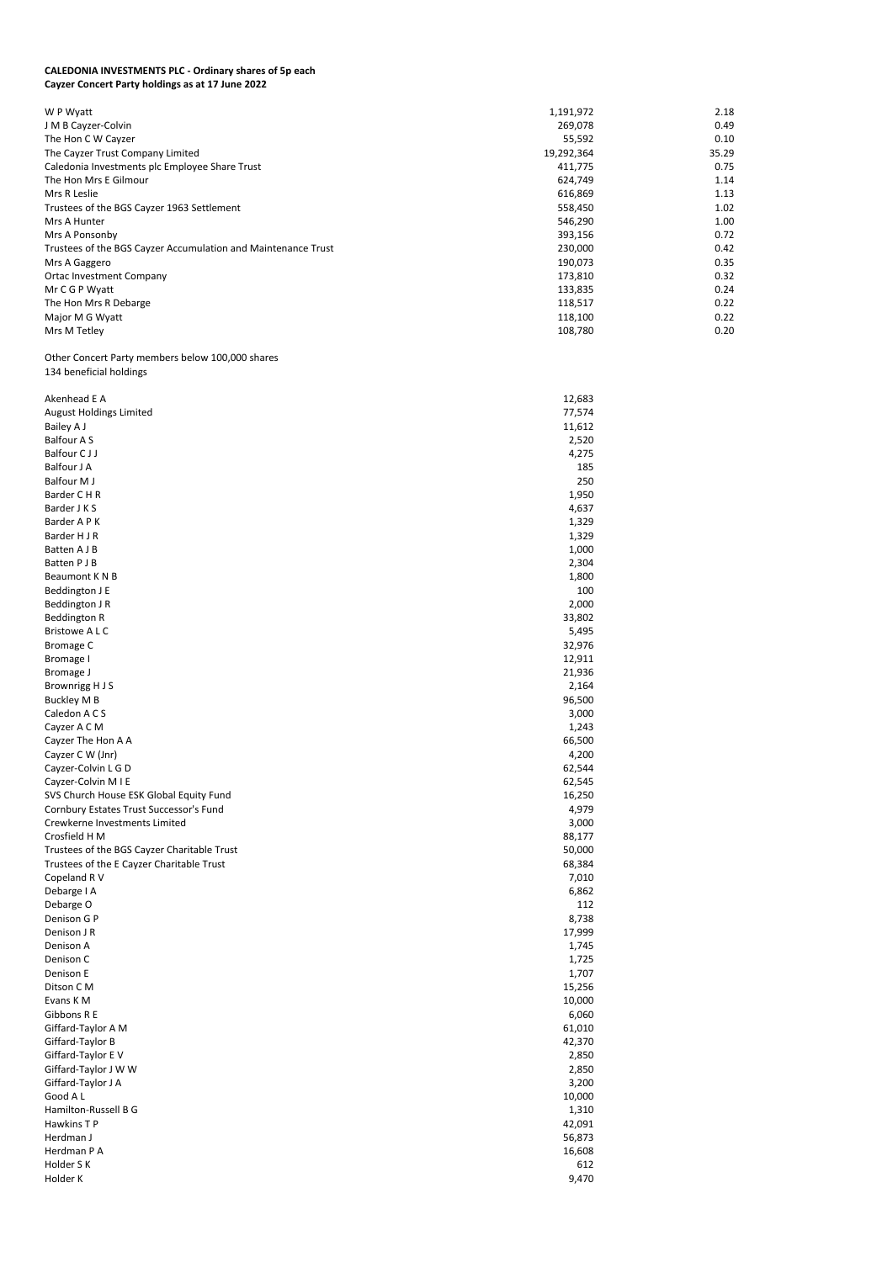## **CALEDONIA INVESTMENTS PLC - Ordinary shares of 5p each Cayzer Concert Party holdings as at 17 June 2022**

| W P Wyatt                                                     | 1,191,972  | 2.18  |
|---------------------------------------------------------------|------------|-------|
| J M B Cayzer-Colvin                                           | 269,078    | 0.49  |
| The Hon C W Cayzer                                            | 55,592     | 0.10  |
| The Cayzer Trust Company Limited                              | 19,292,364 | 35.29 |
| Caledonia Investments plc Employee Share Trust                | 411,775    | 0.75  |
| The Hon Mrs E Gilmour                                         | 624,749    | 1.14  |
| Mrs R Leslie                                                  | 616,869    | 1.13  |
| Trustees of the BGS Cayzer 1963 Settlement                    | 558,450    | 1.02  |
| Mrs A Hunter                                                  | 546,290    | 1.00  |
| Mrs A Ponsonby                                                | 393,156    | 0.72  |
| Trustees of the BGS Cayzer Accumulation and Maintenance Trust | 230,000    | 0.42  |
| Mrs A Gaggero                                                 | 190,073    | 0.35  |
| <b>Ortac Investment Company</b>                               | 173,810    | 0.32  |
| Mr C G P Wyatt                                                | 133,835    | 0.24  |
| The Hon Mrs R Debarge                                         | 118,517    | 0.22  |
| Major M G Wyatt                                               | 118,100    | 0.22  |
| Mrs M Tetley                                                  | 108,780    | 0.20  |

Other Concert Party members below 100,000 shares 134 beneficial holdings

| Akenhead E A                                | 12,683 |
|---------------------------------------------|--------|
| <b>August Holdings Limited</b>              | 77,574 |
| Bailey A J                                  | 11,612 |
| <b>Balfour AS</b>                           | 2,520  |
| <b>Balfour CJJ</b>                          | 4,275  |
| <b>Balfour J A</b>                          | 185    |
| <b>Balfour MJ</b>                           | 250    |
| Barder C H R                                | 1,950  |
| Barder J K S                                | 4,637  |
| Barder A P K                                | 1,329  |
| Barder H J R                                | 1,329  |
| Batten A J B                                | 1,000  |
| Batten P J B                                | 2,304  |
| Beaumont K N B                              | 1,800  |
| Beddington J E                              | 100    |
| Beddington J R                              | 2,000  |
| <b>Beddington R</b>                         | 33,802 |
| <b>Bristowe ALC</b>                         | 5,495  |
| <b>Bromage C</b>                            | 32,976 |
| Bromage I                                   | 12,911 |
| Bromage J                                   | 21,936 |
| Brownrigg H J S                             | 2,164  |
| <b>Buckley M B</b>                          | 96,500 |
| Caledon A C S                               | 3,000  |
| Cayzer A C M                                | 1,243  |
| Cayzer The Hon A A                          | 66,500 |
| Cayzer C W (Jnr)                            | 4,200  |
| Cayzer-Colvin L G D                         | 62,544 |
| Cayzer-Colvin M I E                         | 62,545 |
| SVS Church House ESK Global Equity Fund     | 16,250 |
| Cornbury Estates Trust Successor's Fund     | 4,979  |
| Crewkerne Investments Limited               | 3,000  |
| Crosfield H M                               | 88,177 |
| Trustees of the BGS Cayzer Charitable Trust | 50,000 |
| Trustees of the E Cayzer Charitable Trust   | 68,384 |
| Copeland R V                                | 7,010  |
| Debarge I A                                 | 6,862  |
| Debarge O                                   | 112    |
| Denison G P                                 | 8,738  |
| Denison J R                                 | 17,999 |
| Denison A                                   | 1,745  |
| Denison C                                   | 1,725  |
| Denison E                                   | 1,707  |
| Ditson C M                                  | 15,256 |
| Evans K M                                   | 10,000 |
| Gibbons R E                                 | 6,060  |
| Giffard-Taylor A M                          | 61,010 |
| Giffard-Taylor B                            | 42,370 |
| Giffard-Taylor E V                          | 2,850  |
| Giffard-Taylor J W W                        | 2,850  |
| Giffard-Taylor J A                          | 3,200  |
| Good A L                                    | 10,000 |
| Hamilton-Russell B G                        | 1,310  |
| Hawkins T P                                 | 42,091 |
| Herdman J                                   | 56,873 |
| Herdman P A                                 | 16,608 |
| Holder S K                                  | 612    |
| Holder K                                    | 9,470  |